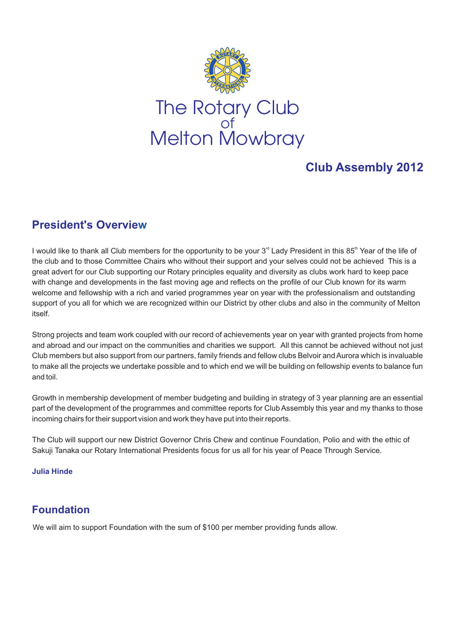

# **Club Assembly 2012**

# **President's Overview**

I would like to thank all Club members for the opportunity to be your 3<sup>rd</sup> Lady President in this 85<sup>th</sup> Year of the life of the club and to those Committee Chairs who without their support and your selves could not be achieved This is a great advert for our Club supporting our Rotary principles equality and diversity as clubs work hard to keep pace with change and developments in the fast moving age and reflects on the profile of our Club known for its warm welcome and fellowship with a rich and varied programmes year on year with the professionalism and outstanding support of you all for which we are recognized within our District by other clubs and also in the community of Melton itself.

Strong projects and team work coupled with our record of achievements year on year with granted projects from home and abroad and our impact on the communities and charities we support. All this cannot be achieved without not just Club members but also support from our partners, family friends and fellow clubs Belvoir and Aurora which is invaluable to make all the projects we undertake possible and to which end we will be building on fellowship events to balance fun and toil.

Growth in membership development of member budgeting and building in strategy of 3 year planning are an essential part of the development of the programmes and committee reports for Club Assembly this year and my thanks to those incoming chairs for their support vision and work they have put into their reports.

The Club will support our new District Governor Chris Chew and continue Foundation, Polio and with the ethic of Sakuji Tanaka our Rotary International Presidents focus for us all for his year of Peace Through Service.

# **Julia Hinde**

# **Foundation**

We will aim to support Foundation with the sum of \$100 per member providing funds allow.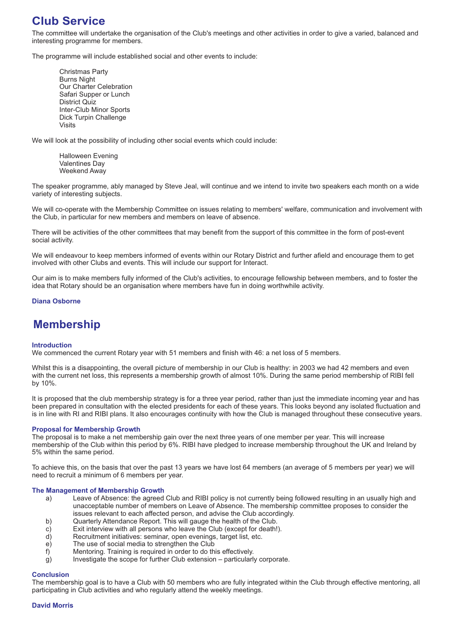# **Club Service**

The committee will undertake the organisation of the Club's meetings and other activities in order to give a varied, balanced and interesting programme for members.

The programme will include established social and other events to include:

Christmas Party Burns Night Our Charter Celebration Safari Supper or Lunch District Quiz Inter-Club Minor Sports Dick Turpin Challenge Visits

We will look at the possibility of including other social events which could include:

Halloween Evening Valentines Day Weekend Away

The speaker programme, ably managed by Steve Jeal, will continue and we intend to invite two speakers each month on a wide variety of interesting subjects.

We will co-operate with the Membership Committee on issues relating to members' welfare, communication and involvement with the Club, in particular for new members and members on leave of absence.

There will be activities of the other committees that may benefit from the support of this committee in the form of post-event social activity.

We will endeavour to keep members informed of events within our Rotary District and further afield and encourage them to get involved with other Clubs and events. This will include our support for Interact.

Our aim is to make members fully informed of the Club's activities, to encourage fellowship between members, and to foster the idea that Rotary should be an organisation where members have fun in doing worthwhile activity.

# **Diana Osborne**

# **Membership**

### **Introduction**

We commenced the current Rotary year with 51 members and finish with 46: a net loss of 5 members.

Whilst this is a disappointing, the overall picture of membership in our Club is healthy: in 2003 we had 42 members and even with the current net loss, this represents a membership growth of almost 10%. During the same period membership of RIBI fell by 10%.

It is proposed that the club membership strategy is for a three year period, rather than just the immediate incoming year and has been prepared in consultation with the elected presidents for each of these years. This looks beyond any isolated fluctuation and is in line with RI and RIBI plans. It also encourages continuity with how the Club is managed throughout these consecutive years.

#### **Proposal for Membership Growth**

The proposal is to make a net membership gain over the next three years of one member per year. This will increase membership of the Club within this period by 6%. RIBI have pledged to increase membership throughout the UK and Ireland by 5% within the same period.

To achieve this, on the basis that over the past 13 years we have lost 64 members (an average of 5 members per year) we will need to recruit a minimum of 6 members per year.

#### **The Management of Membership Growth**

- a) Leave of Absence: the agreed Club and RIBI policy is not currently being followed resulting in an usually high and unacceptable number of members on Leave of Absence. The membership committee proposes to consider the issues relevant to each affected person, and advise the Club accordingly.
- b) Quarterly Attendance Report. This will gauge the health of the Club.
- c) Exit interview with all persons who leave the Club (except for death!).<br>
d) Recruitment initiatives: seminar, open evenings, target list, etc.
- Recruitment initiatives: seminar, open evenings, target list, etc.
- 
- e) The use of social media to strengthen the Club f) Mentoring. Training is required in order to do the Mentoring. Training is required in order to do this effectively.
- g) Investigate the scope for further Club extension particularly corporate.

#### **Conclusion**

The membership goal is to have a Club with 50 members who are fully integrated within the Club through effective mentoring, all participating in Club activities and who regularly attend the weekly meetings.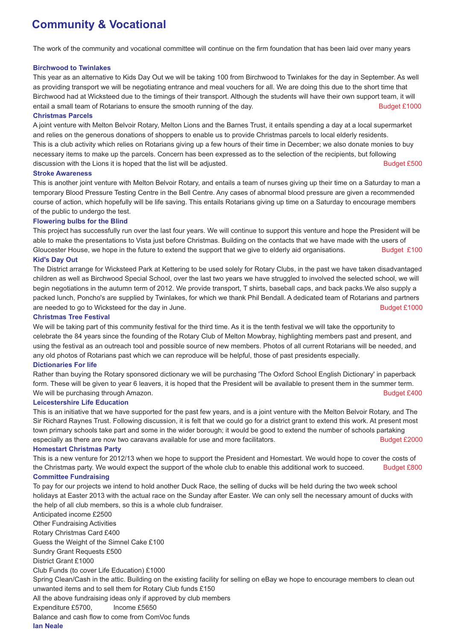# **Community & Vocational**

The work of the community and vocational committee will continue on the firm foundation that has been laid over many years

### **Birchwood to Twinlakes**

This year as an alternative to Kids Day Out we will be taking 100 from Birchwood to Twinlakes for the day in September. As well as providing transport we will be negotiating entrance and meal vouchers for all. We are doing this due to the short time that Birchwood had at Wicksteed due to the timings of their transport. Although the students will have their own support team, it will entail a small team of Rotarians to ensure the smooth running of the day. Budget £1000

## **Christmas Parcels**

A joint venture with Melton Belvoir Rotary, Melton Lions and the Barnes Trust, it entails spending a day at a local supermarket and relies on the generous donations of shoppers to enable us to provide Christmas parcels to local elderly residents. This is a club activity which relies on Rotarians giving up a few hours of their time in December; we also donate monies to buy necessary items to make up the parcels. Concern has been expressed as to the selection of the recipients, but following discussion with the Lions it is hoped that the list will be adjusted. Budget £500

## **Stroke Awareness**

This is another joint venture with Melton Belvoir Rotary, and entails a team of nurses giving up their time on a Saturday to man a temporary Blood Pressure Testing Centre in the Bell Centre. Any cases of abnormal blood pressure are given a recommended course of action, which hopefully will be life saving. This entails Rotarians giving up time on a Saturday to encourage members of the public to undergo the test.

# **Flowering bulbs for the Blind**

This project has successfully run over the last four years. We will continue to support this venture and hope the President will be able to make the presentations to Vista just before Christmas. Building on the contacts that we have made with the users of Gloucester House, we hope in the future to extend the support that we give to elderly aid organisations. Budget £100

# **Kid's Day Out**

The District arrange for Wicksteed Park at Kettering to be used solely for Rotary Clubs, in the past we have taken disadvantaged children as well as Birchwood Special School, over the last two years we have struggled to involved the selected school, we will begin negotiations in the autumn term of 2012. We provide transport, T shirts, baseball caps, and back packs.We also supply a packed lunch, Poncho's are supplied by Twinlakes, for which we thank Phil Bendall. A dedicated team of Rotarians and partners are needed to go to Wicksteed for the day in June. Budget £1000

### **Christmas Tree Festival**

We will be taking part of this community festival for the third time. As it is the tenth festival we will take the opportunity to celebrate the 84 years since the founding of the Rotary Club of Melton Mowbray, highlighting members past and present, and using the festival as an outreach tool and possible source of new members. Photos of all current Rotarians will be needed, and any old photos of Rotarians past which we can reproduce will be helpful, those of past presidents especially.

# **Dictionaries For life**

Rather than buying the Rotary sponsored dictionary we will be purchasing 'The Oxford School English Dictionary' in paperback form. These will be given to year 6 leavers, it is hoped that the President will be available to present them in the summer term. We will be purchasing through Amazon. Budget £400

# **Leicestershire Life Education**

This is an initiative that we have supported for the past few years, and is a joint venture with the Melton Belvoir Rotary, and The Sir Richard Raynes Trust. Following discussion, it is felt that we could go for a district grant to extend this work. At present most town primary schools take part and some in the wider borough; it would be good to extend the number of schools partaking especially as there are now two caravans available for use and more facilitators. Budget £2000

### **Homestart Christmas Party**

This is a new venture for 2012/13 when we hope to support the President and Homestart. We would hope to cover the costs of the Christmas party. We would expect the support of the whole club to enable this additional work to succeed. **Committee Fundraising** Budget £800

To pay for our projects we intend to hold another Duck Race, the selling of ducks will be held during the two week school holidays at Easter 2013 with the actual race on the Sunday after Easter. We can only sell the necessary amount of ducks with the help of all club members, so this is a whole club fundraiser.

Anticipated income £2500 Other Fundraising Activities Rotary Christmas Card £400 Guess the Weight of the Simnel Cake £100 Sundry Grant Requests £500 District Grant £1000 Club Funds (to cover Life Education) £1000 Spring Clean/Cash in the attic. Building on the existing facility for selling on eBay we hope to encourage members to clean out unwanted items and to sell them for Rotary Club funds £150 All the above fundraising ideas only if approved by club members Expenditure £5700, Income £5650 Balance and cash flow to come from ComVoc funds **Ian Neale**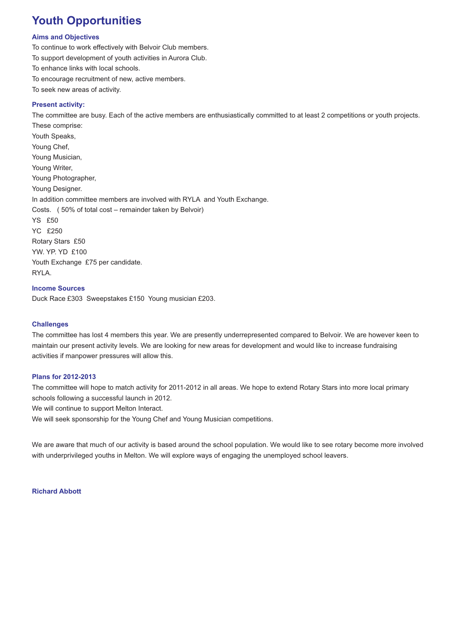# **Youth Opportunities**

## **Aims and Objectives**

To continue to work effectively with Belvoir Club members. To support development of youth activities in Aurora Club. To enhance links with local schools. To encourage recruitment of new, active members. To seek new areas of activity.

## **Present activity:**

The committee are busy. Each of the active members are enthusiastically committed to at least 2 competitions or youth projects. These comprise: Youth Speaks, Young Chef, Young Musician, Young Writer, Young Photographer, Young Designer. In addition committee members are involved with RYLA and Youth Exchange. Costs. ( 50% of total cost – remainder taken by Belvoir) YS £50 YC £250 Rotary Stars £50 YW. YP. YD £100 Youth Exchange £75 per candidate. RYLA.

### **Income Sources**

Duck Race £303 Sweepstakes £150 Young musician £203.

#### **Challenges**

The committee has lost 4 members this year. We are presently underrepresented compared to Belvoir. We are however keen to maintain our present activity levels. We are looking for new areas for development and would like to increase fundraising activities if manpower pressures will allow this.

# **Plans for 2012-2013**

The committee will hope to match activity for 2011-2012 in all areas. We hope to extend Rotary Stars into more local primary schools following a successful launch in 2012.

We will continue to support Melton Interact.

We will seek sponsorship for the Young Chef and Young Musician competitions.

We are aware that much of our activity is based around the school population. We would like to see rotary become more involved with underprivileged youths in Melton. We will explore ways of engaging the unemployed school leavers.

#### **Richard Abbott**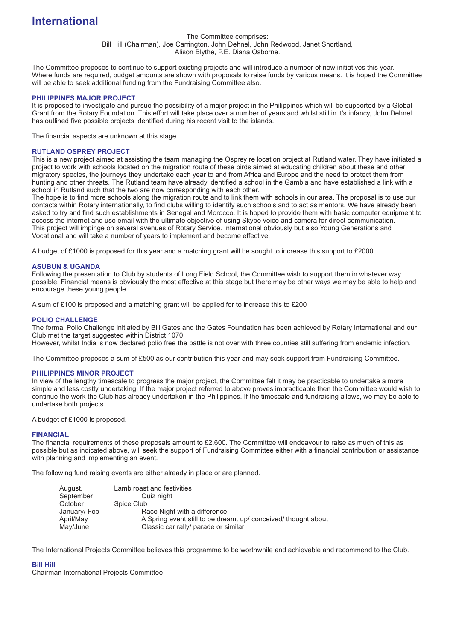# **International**

#### The Committee comprises: Bill Hill (Chairman), Joe Carrington, John Dehnel, John Redwood, Janet Shortland, Alison Blythe, P.E. Diana Osborne.

The Committee proposes to continue to support existing projects and will introduce a number of new initiatives this year. Where funds are required, budget amounts are shown with proposals to raise funds by various means. It is hoped the Committee will be able to seek additional funding from the Fundraising Committee also.

### **PHILIPPINES MAJOR PROJECT**

It is proposed to investigate and pursue the possibility of a major project in the Philippines which will be supported by a Global Grant from the Rotary Foundation. This effort will take place over a number of years and whilst still in it's infancy, John Dehnel has outlined five possible projects identified during his recent visit to the islands.

The financial aspects are unknown at this stage.

#### **RUTLAND OSPREY PROJECT**

This is a new project aimed at assisting the team managing the Osprey re location project at Rutland water. They have initiated a project to work with schools located on the migration route of these birds aimed at educating children about these and other migratory species, the journeys they undertake each year to and from Africa and Europe and the need to protect them from hunting and other threats. The Rutland team have already identified a school in the Gambia and have established a link with a school in Rutland such that the two are now corresponding with each other.

The hope is to find more schools along the migration route and to link them with schools in our area. The proposal is to use our contacts within Rotary internationally, to find clubs willing to identify such schools and to act as mentors. We have already been asked to try and find such establishments in Senegal and Morocco. It is hoped to provide them with basic computer equipment to access the internet and use email with the ultimate objective of using Skype voice and camera for direct communication. This project will impinge on several avenues of Rotary Service. International obviously but also Young Generations and Vocational and will take a number of years to implement and become effective.

A budget of £1000 is proposed for this year and a matching grant will be sought to increase this support to £2000.

#### **ASUBUN & UGANDA**

Following the presentation to Club by students of Long Field School, the Committee wish to support them in whatever way possible. Financial means is obviously the most effective at this stage but there may be other ways we may be able to help and encourage these young people.

A sum of £100 is proposed and a matching grant will be applied for to increase this to £200

#### **POLIO CHALLENGE**

The formal Polio Challenge initiated by Bill Gates and the Gates Foundation has been achieved by Rotary International and our Club met the target suggested within District 1070.

However, whilst India is now declared polio free the battle is not over with three counties still suffering from endemic infection.

The Committee proposes a sum of £500 as our contribution this year and may seek support from Fundraising Committee.

#### **PHILIPPINES MINOR PROJECT**

In view of the lengthy timescale to progress the major project, the Committee felt it may be practicable to undertake a more simple and less costly undertaking. If the major project referred to above proves impracticable then the Committee would wish to continue the work the Club has already undertaken in the Philippines. If the timescale and fundraising allows, we may be able to undertake both projects.

A budget of £1000 is proposed.

### **FINANCIAL**

The financial requirements of these proposals amount to £2,600. The Committee will endeavour to raise as much of this as possible but as indicated above, will seek the support of Fundraising Committee either with a financial contribution or assistance with planning and implementing an event.

The following fund raising events are either already in place or are planned.

| August.      | Lamb roast and festivities                                   |
|--------------|--------------------------------------------------------------|
| September    | Quiz night                                                   |
| October      | Spice Club                                                   |
| January/ Feb | Race Night with a difference                                 |
| April/May    | A Spring event still to be dreamt up/conceived/thought about |
| May/June     | Classic car rally/ parade or similar                         |

The International Projects Committee believes this programme to be worthwhile and achievable and recommend to the Club.

### **Bill Hill**

Chairman International Projects Committee